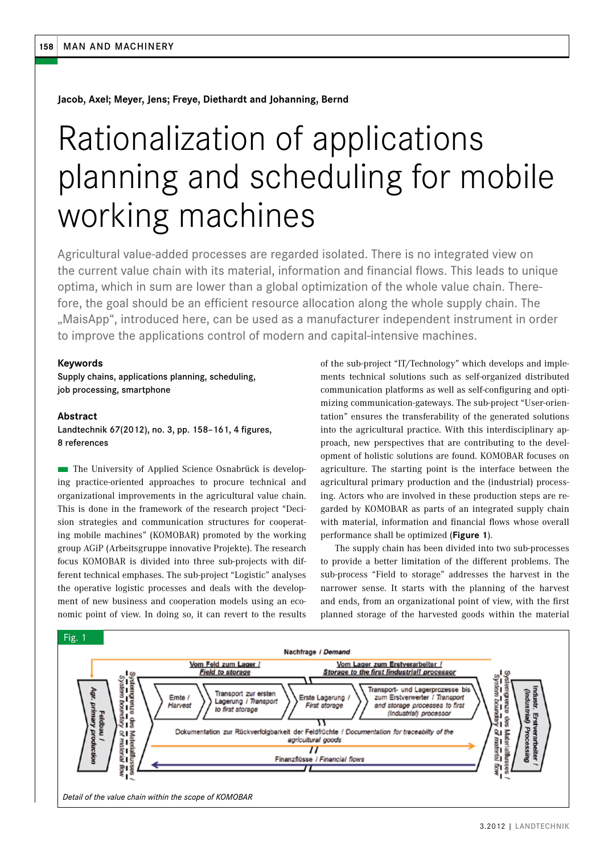**Jacob, Axel; Meyer, Jens; Freye, Diethardt and Johanning, Bernd**

# Rationalization of applications planning and scheduling for mobile working machines

Agricultural value-added processes are regarded isolated. There is no integrated view on the current value chain with its material, information and financial flows. This leads to unique optima, which in sum are lower than a global optimization of the whole value chain. Therefore, the goal should be an efficient resource allocation along the whole supply chain. The "MaisApp", introduced here, can be used as a manufacturer independent instrument in order to improve the applications control of modern and capital-intensive machines.

## **Keywords**

Supply chains, applications planning, scheduling, job processing, smartphone

**Abstract** Landtechnik 67(2012), no. 3, pp. 158–161, 4 figures, 8 references

n The University of Applied Science Osnabrück is developing practice-oriented approaches to procure technical and organizational improvements in the agricultural value chain. This is done in the framework of the research project "Decision strategies and communication structures for cooperating mobile machines" (KOMOBAR) promoted by the working group AGiP (Arbeitsgruppe innovative Projekte). The research focus KOMOBAR is divided into three sub-projects with different technical emphases. The sub-project "Logistic" analyses the operative logistic processes and deals with the development of new business and cooperation models using an economic point of view. In doing so, it can revert to the results

of the sub-project "IT/Technology" which develops and implements technical solutions such as self-organized distributed communication platforms as well as self-configuring and optimizing communication-gateways. The sub-project "User-orientation" ensures the transferability of the generated solutions into the agricultural practice. With this interdisciplinary approach, new perspectives that are contributing to the development of holistic solutions are found. KOMOBAR focuses on agriculture. The starting point is the interface between the agricultural primary production and the (industrial) processing. Actors who are involved in these production steps are regarded by KOMOBAR as parts of an integrated supply chain with material, information and financial flows whose overall performance shall be optimized (**Figure 1**).

The supply chain has been divided into two sub-processes to provide a better limitation of the different problems. The sub-process "Field to storage" addresses the harvest in the narrower sense. It starts with the planning of the harvest and ends, from an organizational point of view, with the first planned storage of the harvested goods within the material

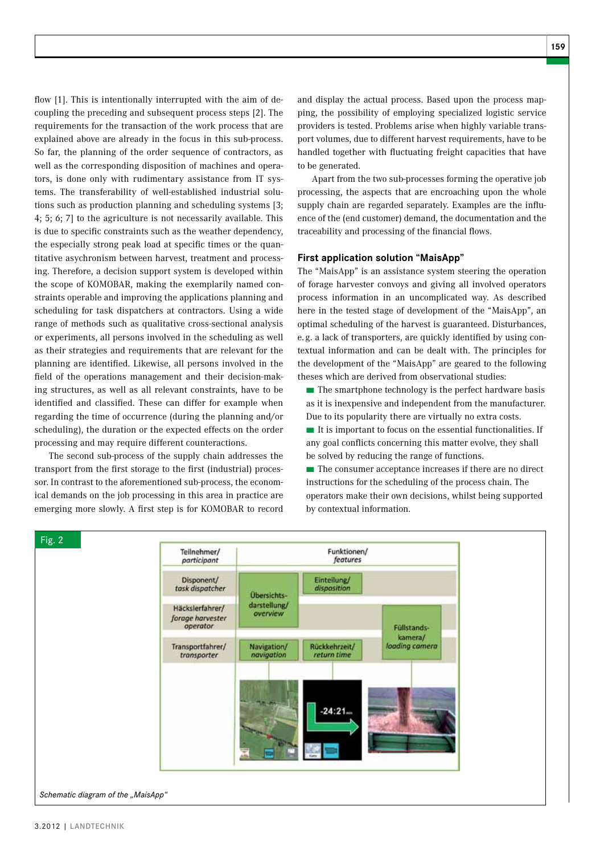flow [1]. This is intentionally interrupted with the aim of decoupling the preceding and subsequent process steps [2]. The requirements for the transaction of the work process that are explained above are already in the focus in this sub-process. So far, the planning of the order sequence of contractors, as well as the corresponding disposition of machines and operators, is done only with rudimentary assistance from IT systems. The transferability of well-established industrial solutions such as production planning and scheduling systems [3; 4; 5; 6; 7] to the agriculture is not necessarily available. This is due to specific constraints such as the weather dependency, the especially strong peak load at specific times or the quantitative asychronism between harvest, treatment and processing. Therefore, a decision support system is developed within the scope of KOMOBAR, making the exemplarily named constraints operable and improving the applications planning and scheduling for task dispatchers at contractors. Using a wide range of methods such as qualitative cross-sectional analysis or experiments, all persons involved in the scheduling as well as their strategies and requirements that are relevant for the planning are identified. Likewise, all persons involved in the field of the operations management and their decision-making structures, as well as all relevant constraints, have to be identified and classified. These can differ for example when regarding the time of occurrence (during the planning and/or scheduling), the duration or the expected effects on the order processing and may require different counteractions.

The second sub-process of the supply chain addresses the transport from the first storage to the first (industrial) processor. In contrast to the aforementioned sub-process, the economical demands on the job processing in this area in practice are emerging more slowly. A first step is for KOMOBAR to record and display the actual process. Based upon the process mapping, the possibility of employing specialized logistic service providers is tested. Problems arise when highly variable transport volumes, due to different harvest requirements, have to be handled together with fluctuating freight capacities that have to be generated.

Apart from the two sub-processes forming the operative job processing, the aspects that are encroaching upon the whole supply chain are regarded separately. Examples are the influence of the (end customer) demand, the documentation and the traceability and processing of the financial flows.

## **First application solution "MaisApp"**

The "MaisApp" is an assistance system steering the operation of forage harvester convoys and giving all involved operators process information in an uncomplicated way. As described here in the tested stage of development of the "MaisApp", an optimal scheduling of the harvest is guaranteed. Disturbances, e. g. a lack of transporters, are quickly identified by using contextual information and can be dealt with. The principles for the development of the "MaisApp" are geared to the following theses which are derived from observational studies:

■ The smartphone technology is the perfect hardware basis as it is inexpensive and independent from the manufacturer. Due to its popularity there are virtually no extra costs.

■ It is important to focus on the essential functionalities. If any goal conflicts concerning this matter evolve, they shall be solved by reducing the range of functions.

■ The consumer acceptance increases if there are no direct instructions for the scheduling of the process chain. The operators make their own decisions, whilst being supported by contextual information.

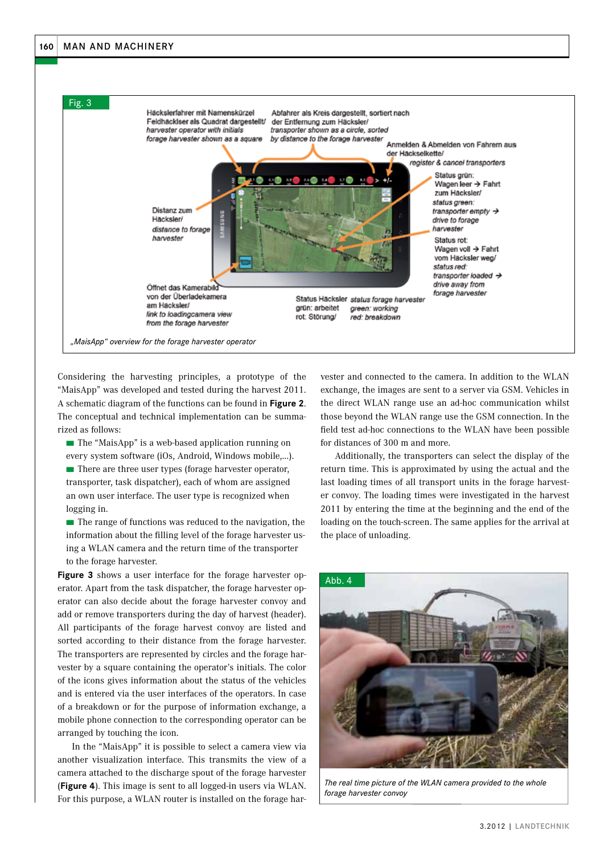

Considering the harvesting principles, a prototype of the "MaisApp" was developed and tested during the harvest 2011. A schematic diagram of the functions can be found in **Figure 2**. The conceptual and technical implementation can be summarized as follows:

■ The "MaisApp" is a web-based application running on every system software (iOs, Android, Windows mobile,...).

■ There are three user types (forage harvester operator, transporter, task dispatcher), each of whom are assigned an own user interface. The user type is recognized when logging in.

■ The range of functions was reduced to the navigation, the information about the filling level of the forage harvester using a WLAN camera and the return time of the transporter to the forage harvester.

**Figure 3** shows a user interface for the forage harvester operator. Apart from the task dispatcher, the forage harvester operator can also decide about the forage harvester convoy and add or remove transporters during the day of harvest (header). All participants of the forage harvest convoy are listed and sorted according to their distance from the forage harvester. The transporters are represented by circles and the forage harvester by a square containing the operator's initials. The color of the icons gives information about the status of the vehicles and is entered via the user interfaces of the operators. In case of a breakdown or for the purpose of information exchange, a mobile phone connection to the corresponding operator can be arranged by touching the icon.

In the "MaisApp" it is possible to select a camera view via another visualization interface. This transmits the view of a camera attached to the discharge spout of the forage harvester (**Figure 4**). This image is sent to all logged-in users via WLAN. For this purpose, a WLAN router is installed on the forage harvester and connected to the camera. In addition to the WLAN exchange, the images are sent to a server via GSM. Vehicles in the direct WLAN range use an ad-hoc communication whilst those beyond the WLAN range use the GSM connection. In the field test ad-hoc connections to the WLAN have been possible for distances of 300 m and more.

Additionally, the transporters can select the display of the return time. This is approximated by using the actual and the last loading times of all transport units in the forage harvester convoy. The loading times were investigated in the harvest 2011 by entering the time at the beginning and the end of the loading on the touch-screen. The same applies for the arrival at the place of unloading.



*The real time picture of the WLAN camera provided to the whole forage harvester convoy*